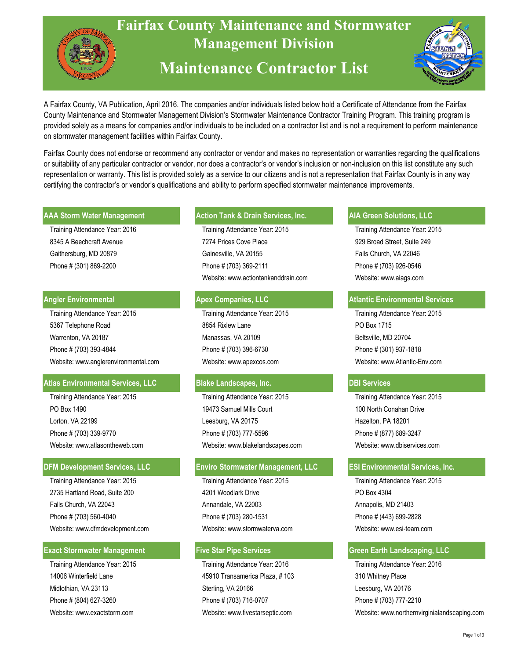

 A Fairfax County, VA Publication, April 2016. The companies and/or individuals listed below hold a Certificate of Attendance from the Fairfax County Maintenance and Stormwater Management Division's Stormwater Maintenance Contractor Training Program. This training program is provided solely as a means for companies and/or individuals to be included on a contractor list and is not a requirement to perform maintenance on stormwater management facilities within Fairfax County.

 Fairfax County does not endorse or recommend any contractor or vendor and makes no representation or warranties regarding the qualifications or suitability of any particular contractor or vendor, nor does a contractor's or vendor's inclusion or non-inclusion on this list constitute any such representation or warranty. This list is provided solely as a service to our citizens and is not a representation that Fairfax County is in any way certifying the contractor's or vendor's qualifications and ability to perform specified stormwater maintenance improvements.

#### **AAA Storm Water Management**

 Training Attendance Year: 2016 8345 A Beechcraft Avenue Gaithersburg, MD 20879 Phone # (301) 869-2200

### **Angler Environmental**

 Training Attendance Year: 2015 5367 Telephone Road Warrenton, VA 20187 Phone # (703) 393-4844 Website: www.anglerenvironmental.com

# **Atlas Environmental Services, LLC**

 Training Attendance Year: 2015 PO Box 1490 Lorton, VA 22199 Phone # (703) 339-9770 Website: www.atlasontheweb.com

# **DFM Development Services, LLC**

 Training Attendance Year: 2015 2735 Hartland Road, Suite 200 Falls Church, VA 22043 Phone # (703) 560-4040 Website: www.dfmdevelopment.com

### **Exact Stormwater Management**

 Training Attendance Year: 2015 14006 Winterfield Lane Midlothian, VA 23113 Phone # (804) 627-3260 Website: www.exactstorm.com

## Action Tank & Drain Services, Inc. **ARA State Analysis Action Solutions, LLC**

Training Attendance Year: 2015 7274 Prices Cove Place Gainesville, VA 20155 Phone # (703) 369-2111 Website: www.actiontankanddrain.com

# **Apex Companies, LLC**

Training Attendance Year: 2015 8854 Rixlew Lane Manassas, VA 20109 Phone # (703) 396-6730 Website: www.apexcos.com

# **Blake Landscapes, Inc.**

Training Attendance Year: 2015 19473 Samuel Mills Court Leesburg, VA 20175 Phone # (703) 777-5596 Website: www.blakelandscapes.com

### **Services, LLC** *Enviro Stormwater Management, LLC*

Training Attendance Year: 2015 4201 Woodlark Drive Annandale, VA 22003 Phone # (703) 280-1531 Website: www.stormwaterva.com

# **Five Star Pipe Services**

Training Attendance Year: 2016 45910 Transamerica Plaza, # 103 Sterling, VA 20166 Phone # (703) 716-0707 Website: www.fivestarseptic.com

Training Attendance Year: 2015 929 Broad Street, Suite 249 Falls Church, VA 22046 Phone # (703) 926-0546 Website: www.aiags.com

## **Atlantic Environmental Services**

Training Attendance Year: 2015 PO Box 1715 Beltsville, MD 20704 Phone # (301) 937-1818 Website: www.Atlantic-Env.com

### **DBI Services**

Training Attendance Year: 2015 100 North Conahan Drive Hazelton, PA 18201 Phone # (877) 689-3247 Website: www.dbiservices.com

# **ESI Environmental Services, Inc.**

Training Attendance Year: 2015 PO Box 4304 Annapolis, MD 21403 Phone # (443) 699-2828 Website: www.esi-team.com

# **Green Earth Landscaping, LLC**

Training Attendance Year: 2016 310 Whitney Place Leesburg, VA 20176 Phone # (703) 777-2210 Website: www.northernvirginialandscaping.com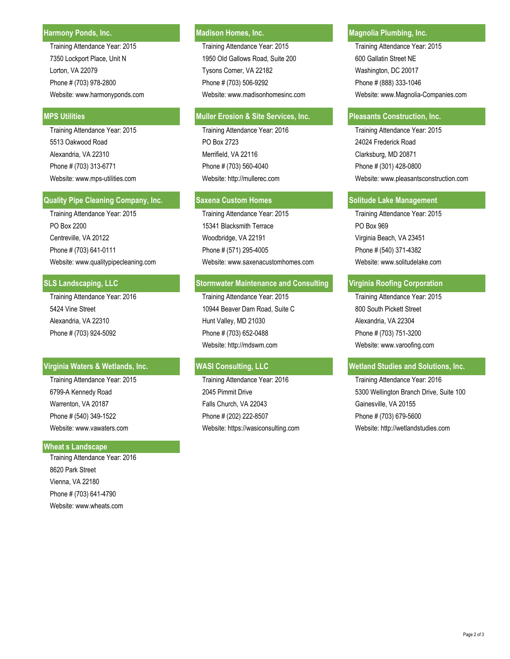#### **Harmony Ponds, Inc.**

Training Attendance Year: 2015 7350 Lockport Place, Unit N Lorton, VA 22079 Phone # (703) 978-2800

 Training Attendance Year: 2015 5513 Oakwood Road Alexandria, VA 22310 Phone # (703) 313-6771 Website: www.mps-utilities.com

#### **Quality Pipe Cleaning Company, Inc.**

Training Attendance Year: 2015 PO Box 2200 Centreville, VA 20122 Phone # (703) 641-0111

## **SLS Landscaping, LLC**

 Training Attendance Year: 2016 5424 Vine Street Alexandria, VA 22310 Phone # (703) 924-5092

### **Virginia Waters & Wetlands, Inc.**

 Training Attendance Year: 2015 6799-A Kennedy Road Warrenton, VA 20187 Phone # (540) 349-1522 Website: www.vawaters.com

#### **' Wheat s Landscape**

 Training Attendance Year: 2016 8620 Park Street Vienna, VA 22180 Phone # (703) 641-4790 Website: www.wheats.com

Training Attendance Year: 2015 Training Attendance Year: 2015 1950 Old Gallows Road, Suite 200 600 Gallatin Street NE Lorton, VA 22079 Tysons Corner, VA 22182 Washington, DC 20017 Phone # (703) 506-9292 **Phone # (888) 333-1046** 

#### MPS Utilities **Muller Erosion & Site Services, Inc. Pleasants Construction, Inc.** Pleasants Construction, Inc.

Training Attendance Year: 2016 PO Box 2723 Merrifield, VA 22116 Phone # (703) 560-4040 Website: http://mullerec.com

Training Attendance Year: 2015 Training Attendance Year: 2015 15341 Blacksmith Terrace **PO Box 969** Woodbridge, VA 22191 Virginia Beach, VA 23451 Phone # (571) 295-4005 Phone # (540) 371-4382 Website: www.qualitypipecleaning.com Website: www.saxenacustomhomes.com Website: www.solitudelake.com

### **Stormwater Maintenance and Consulting | Virginia Roofing Corporation**

Training Attendance Year: 2015 10944 Beaver Dam Road, Suite C Hunt Valley, MD 21030 Phone # (703) 652-0488 Website: http://mdswm.com

Training Attendance Year: 2016 2045 Pimmit Drive Falls Church, VA 22043 Phone # (202) 222-8507 Website: https://wasiconsulting.com

# **Madison Homes, Inc. Magnolia Plumbing, Inc. And Magnolia Plumbing, Inc.**

Website: www.harmonyponds.com Website: www.madisonhomesinc.com Website: www.Magnolia-Companies.com

Training Attendance Year: 2015 24024 Frederick Road Clarksburg, MD 20871 Phone # (301) 428-0800 Website: www.pleasantsconstruction.com

#### **Saxena Custom Homes Solitude Lake Management**

Training Attendance Year: 2015 800 South Pickett Street Alexandria, VA 22304 Phone # (703) 751-3200 Website: www.varoofing.com

# WASI Consulting, LLC **WE ALLC WE WE UP A SOLUTION WASI CONSUMING** WE ALLOW WE UP A SOLUTIONS, Inc.

Training Attendance Year: 2016 5300 Wellington Branch Drive, Suite 100 Gainesville, VA 20155 Phone # (703) 679-5600 Website: http://wetlandstudies.com